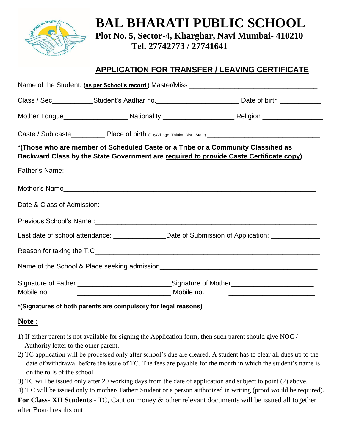

**BAL BHARATI PUBLIC SCHOOL Plot No. 5, Sector-4, Kharghar, Navi Mumbai- 410210 Tel. 27742773 / 27741641**

## **APPLICATION FOR TRANSFER / LEAVING CERTIFICATE**

|                                                                                                                                                                             | Class / Sec______________Student's Aadhar no.____________________________Date of birth _____________                                                                                          |
|-----------------------------------------------------------------------------------------------------------------------------------------------------------------------------|-----------------------------------------------------------------------------------------------------------------------------------------------------------------------------------------------|
|                                                                                                                                                                             |                                                                                                                                                                                               |
|                                                                                                                                                                             |                                                                                                                                                                                               |
| *(Those who are member of Scheduled Caste or a Tribe or a Community Classified as<br>Backward Class by the State Government are required to provide Caste Certificate copy) |                                                                                                                                                                                               |
|                                                                                                                                                                             |                                                                                                                                                                                               |
|                                                                                                                                                                             |                                                                                                                                                                                               |
|                                                                                                                                                                             |                                                                                                                                                                                               |
|                                                                                                                                                                             |                                                                                                                                                                                               |
|                                                                                                                                                                             | Last date of school attendance: _______________Date of Submission of Application: _______________                                                                                             |
|                                                                                                                                                                             |                                                                                                                                                                                               |
|                                                                                                                                                                             |                                                                                                                                                                                               |
| Mobile no.                                                                                                                                                                  | Signature of Father ___________________________________Signature of Mother_________________________<br><u>_________________________________</u> Mobile no. __________________________________ |

## **\*(Signatures of both parents are compulsory for legal reasons)**

## **Note :**

- 1) If either parent is not available for signing the Application form, then such parent should give NOC / Authority letter to the other parent.
- 2) TC application will be processed only after school's due are cleared. A student has to clear all dues up to the date of withdrawal before the issue of TC. The fees are payable for the month in which the student's name is on the rolls of the school
- 3) TC will be issued only after 20 working days from the date of application and subject to point (2) above.
- 4) T.C will be issued only to mother/ Father/ Student or a person authorized in writing (proof would be required).

**For Class- XII Students** - TC, Caution money & other relevant documents will be issued all together after Board results out.